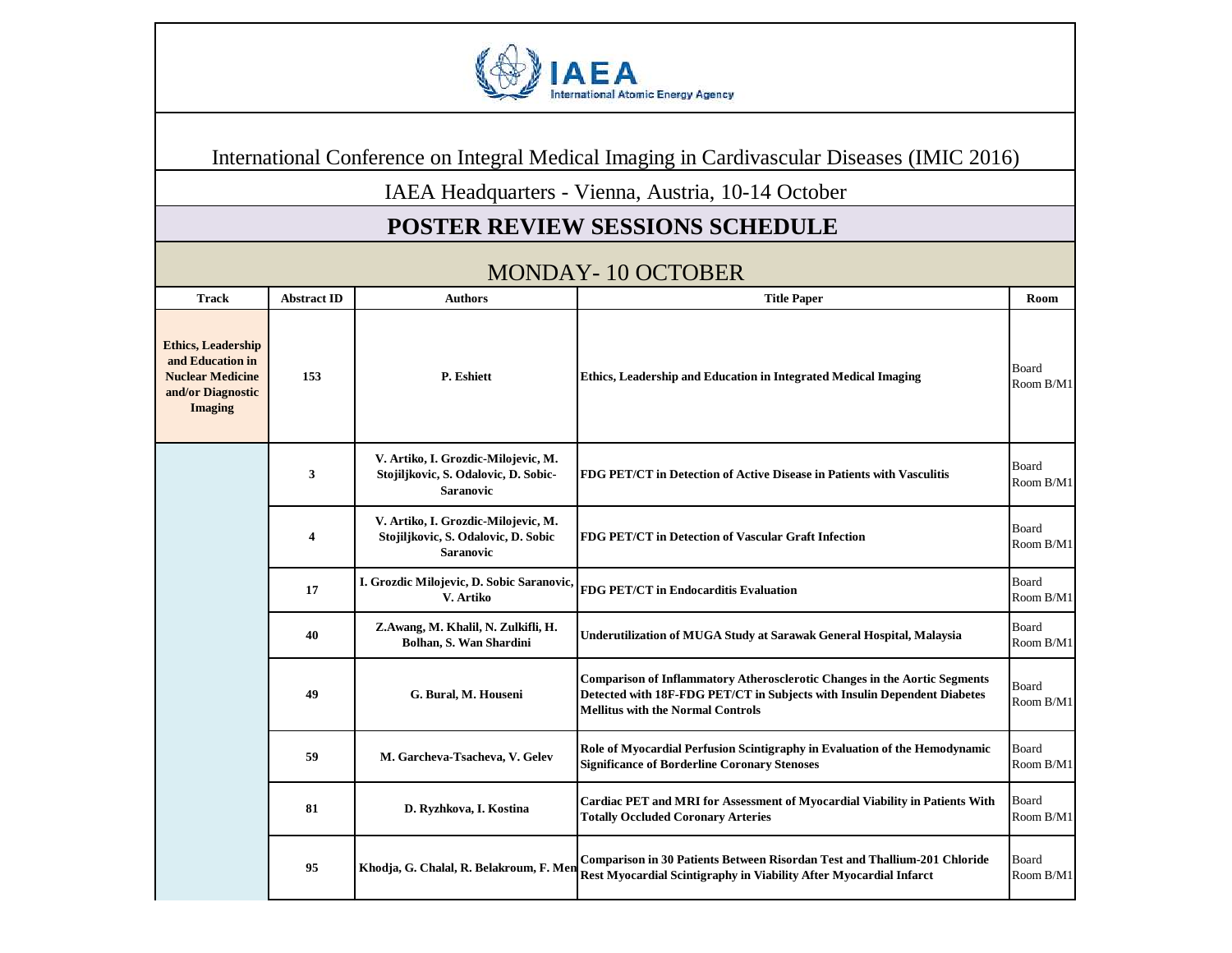

International Conference on Integral Medical Imaging in Cardivascular Diseases (IMIC 2016)

IAEA Headquarters - Vienna, Austria, 10-14 October

## **POSTER REVIEW SESSIONS SCHEDULE**

| MUNDAT-TV UCTUDEN                                                                                               |                    |                                                                                                |                                                                                                                                                                                                   |                           |
|-----------------------------------------------------------------------------------------------------------------|--------------------|------------------------------------------------------------------------------------------------|---------------------------------------------------------------------------------------------------------------------------------------------------------------------------------------------------|---------------------------|
| <b>Track</b>                                                                                                    | <b>Abstract ID</b> | <b>Authors</b>                                                                                 | <b>Title Paper</b>                                                                                                                                                                                | Room                      |
| <b>Ethics, Leadership</b><br>and Education in<br><b>Nuclear Medicine</b><br>and/or Diagnostic<br><b>Imaging</b> | 153                | P. Eshiett                                                                                     | <b>Ethics, Leadership and Education in Integrated Medical Imaging</b>                                                                                                                             | Board<br>Room B/M1        |
|                                                                                                                 | 3                  | V. Artiko, I. Grozdic-Milojevic, M.<br>Stojiljkovic, S. Odalovic, D. Sobic-<br>Saranovic       | <b>FDG PET/CT</b> in Detection of Active Disease in Patients with Vasculitis                                                                                                                      | <b>Board</b><br>Room B/M1 |
|                                                                                                                 | 4                  | V. Artiko, I. Grozdic-Milojevic, M.<br>Stojiljkovic, S. Odalovic, D. Sobic<br><b>Saranovic</b> | FDG PET/CT in Detection of Vascular Graft Infection                                                                                                                                               | <b>Board</b><br>Room B/M1 |
|                                                                                                                 | 17                 | I. Grozdic Milojevic, D. Sobic Saranovic.<br>V. Artiko                                         | <b>FDG PET/CT in Endocarditis Evaluation</b>                                                                                                                                                      | Board<br>Room B/M1        |
|                                                                                                                 | 40                 | Z.Awang, M. Khalil, N. Zulkifli, H.<br>Bolhan, S. Wan Shardini                                 | Underutilization of MUGA Study at Sarawak General Hospital, Malaysia                                                                                                                              | Board<br>Room B/M1        |
|                                                                                                                 | 49                 | G. Bural, M. Houseni                                                                           | Comparison of Inflammatory Atherosclerotic Changes in the Aortic Segments<br>Detected with 18F-FDG PET/CT in Subjects with Insulin Dependent Diabetes<br><b>Mellitus with the Normal Controls</b> | Board<br>Room B/M1        |
|                                                                                                                 | 59                 | M. Garcheva-Tsacheva, V. Gelev                                                                 | Role of Myocardial Perfusion Scintigraphy in Evaluation of the Hemodynamic<br><b>Significance of Borderline Coronary Stenoses</b>                                                                 | Board<br>Room B/M1        |
|                                                                                                                 | 81                 | D. Ryzhkova, I. Kostina                                                                        | Cardiac PET and MRI for Assessment of Myocardial Viability in Patients With<br><b>Totally Occluded Coronary Arteries</b>                                                                          | Board<br>Room B/M1        |
|                                                                                                                 | 95                 | Khodja, G. Chalal, R. Belakroum, F. Men                                                        | Comparison in 30 Patients Between Risordan Test and Thallium-201 Chloride<br>Rest Myocardial Scintigraphy in Viability After Myocardial Infarct                                                   | Board<br>Room B/M1        |

## MONDAY-10 OCTOBER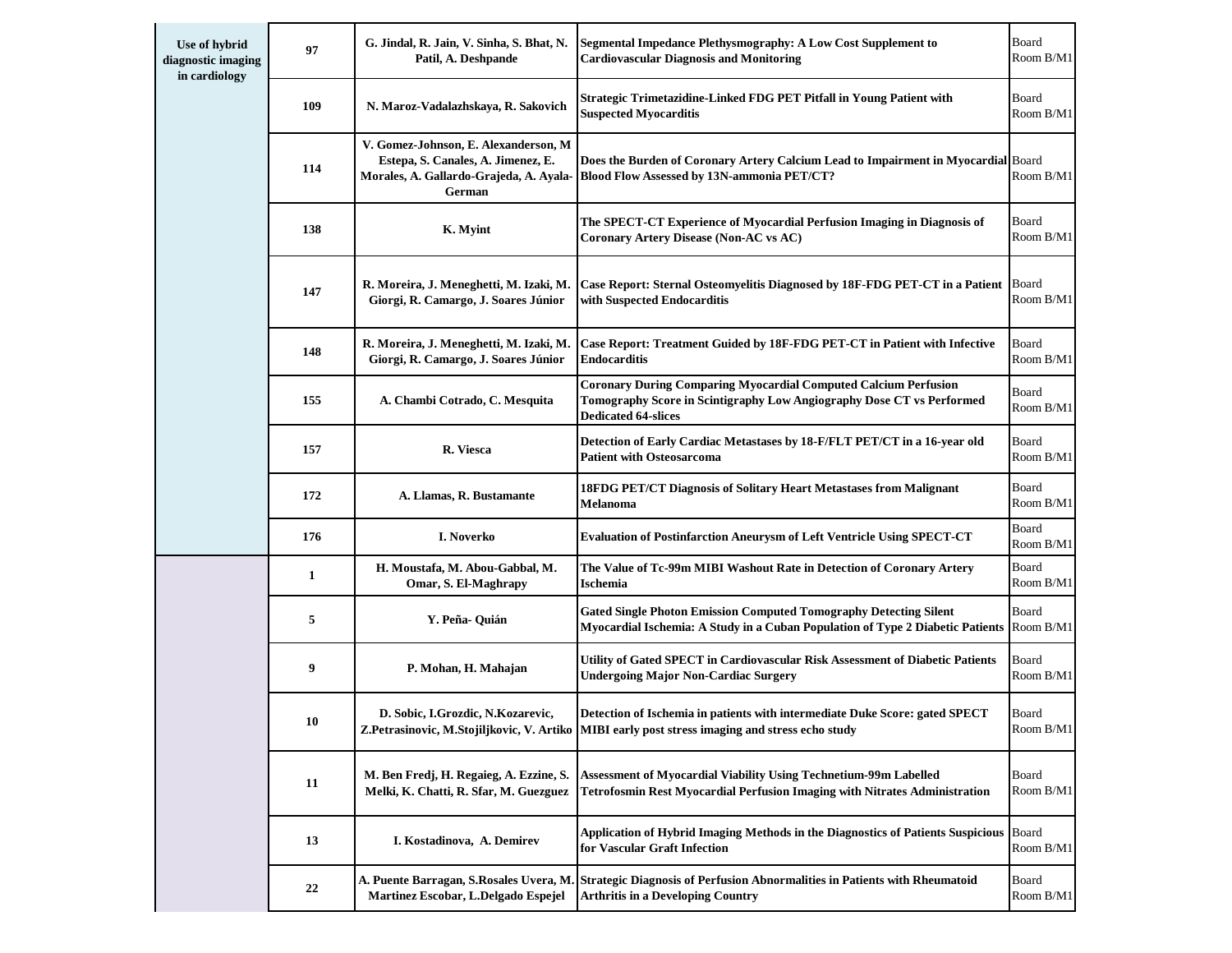| Use of hybrid<br>diagnostic imaging<br>in cardiology | 97  | G. Jindal, R. Jain, V. Sinha, S. Bhat, N.<br>Patil, A. Deshpande                                                                | Segmental Impedance Plethysmography: A Low Cost Supplement to<br><b>Cardiovascular Diagnosis and Monitoring</b>                                                               | Board<br>Room B/M1 |
|------------------------------------------------------|-----|---------------------------------------------------------------------------------------------------------------------------------|-------------------------------------------------------------------------------------------------------------------------------------------------------------------------------|--------------------|
|                                                      | 109 | N. Maroz-Vadalazhskaya, R. Sakovich                                                                                             | Strategic Trimetazidine-Linked FDG PET Pitfall in Young Patient with<br><b>Suspected Myocarditis</b>                                                                          | Board<br>Room B/M1 |
|                                                      | 114 | V. Gomez-Johnson, E. Alexanderson, M<br>Estepa, S. Canales, A. Jimenez, E.<br>Morales, A. Gallardo-Grajeda, A. Ayala-<br>German | Does the Burden of Coronary Artery Calcium Lead to Impairment in Myocardial Board<br><b>Blood Flow Assessed by 13N-ammonia PET/CT?</b>                                        | Room B/M1          |
|                                                      | 138 | K. Myint                                                                                                                        | The SPECT-CT Experience of Myocardial Perfusion Imaging in Diagnosis of<br><b>Coronary Artery Disease (Non-AC vs AC)</b>                                                      | Board<br>Room B/M1 |
|                                                      | 147 | R. Moreira, J. Meneghetti, M. Izaki, M.<br>Giorgi, R. Camargo, J. Soares Júnior                                                 | Case Report: Sternal Osteomyelitis Diagnosed by 18F-FDG PET-CT in a Patient<br>with Suspected Endocarditis                                                                    | Board<br>Room B/M1 |
|                                                      | 148 | R. Moreira, J. Meneghetti, M. Izaki, M.<br>Giorgi, R. Camargo, J. Soares Júnior                                                 | Case Report: Treatment Guided by 18F-FDG PET-CT in Patient with Infective<br>Endocarditis                                                                                     | Board<br>Room B/M1 |
|                                                      | 155 | A. Chambi Cotrado, C. Mesquita                                                                                                  | <b>Coronary During Comparing Myocardial Computed Calcium Perfusion</b><br>Tomography Score in Scintigraphy Low Angiography Dose CT vs Performed<br><b>Dedicated 64-slices</b> | Board<br>Room B/M1 |
|                                                      | 157 | R. Viesca                                                                                                                       | Detection of Early Cardiac Metastases by 18-F/FLT PET/CT in a 16-year old<br>Patient with Osteosarcoma                                                                        | Board<br>Room B/M1 |
|                                                      | 172 | A. Llamas, R. Bustamante                                                                                                        | 18FDG PET/CT Diagnosis of Solitary Heart Metastases from Malignant<br>Melanoma                                                                                                | Board<br>Room B/M1 |
|                                                      | 176 | I. Noverko                                                                                                                      | <b>Evaluation of Postinfarction Aneurysm of Left Ventricle Using SPECT-CT</b>                                                                                                 | Board<br>Room B/M1 |
|                                                      | 1   | H. Moustafa, M. Abou-Gabbal, M.<br>Omar, S. El-Maghrapy                                                                         | The Value of Tc-99m MIBI Washout Rate in Detection of Coronary Artery<br>Ischemia                                                                                             | Board<br>Room B/M1 |
|                                                      | 5   | Y. Peña- Quián                                                                                                                  | <b>Gated Single Photon Emission Computed Tomography Detecting Silent</b><br>Myocardial Ischemia: A Study in a Cuban Population of Type 2 Diabetic Patients                    | Board<br>Room B/M1 |
|                                                      | 9   | P. Mohan, H. Mahajan                                                                                                            | Utility of Gated SPECT in Cardiovascular Risk Assessment of Diabetic Patients<br><b>Undergoing Major Non-Cardiac Surgery</b>                                                  | Board<br>Room B/M1 |
|                                                      | 10  | D. Sobic, I.Grozdic, N.Kozarevic,                                                                                               | Detection of Ischemia in patients with intermediate Duke Score: gated SPECT<br>Z.Petrasinovic, M.Stojiljkovic, V. Artiko MIBI early post stress imaging and stress echo study | Board<br>Room B/M1 |
|                                                      | 11  | M. Ben Fredj, H. Regaieg, A. Ezzine, S.<br>Melki, K. Chatti, R. Sfar, M. Guezguez                                               | <b>Assessment of Myocardial Viability Using Technetium-99m Labelled</b><br>Tetrofosmin Rest Myocardial Perfusion Imaging with Nitrates Administration                         | Board<br>Room B/M1 |
|                                                      | 13  | I. Kostadinova, A. Demirev                                                                                                      | <b>Application of Hybrid Imaging Methods in the Diagnostics of Patients Suspicious</b><br>for Vascular Graft Infection                                                        | Board<br>Room B/M1 |
|                                                      | 22  | A. Puente Barragan, S.Rosales Uvera, M<br>Martinez Escobar, L.Delgado Espejel                                                   | <b>Strategic Diagnosis of Perfusion Abnormalities in Patients with Rheumatoid</b><br><b>Arthritis in a Developing Country</b>                                                 | Board<br>Room B/M1 |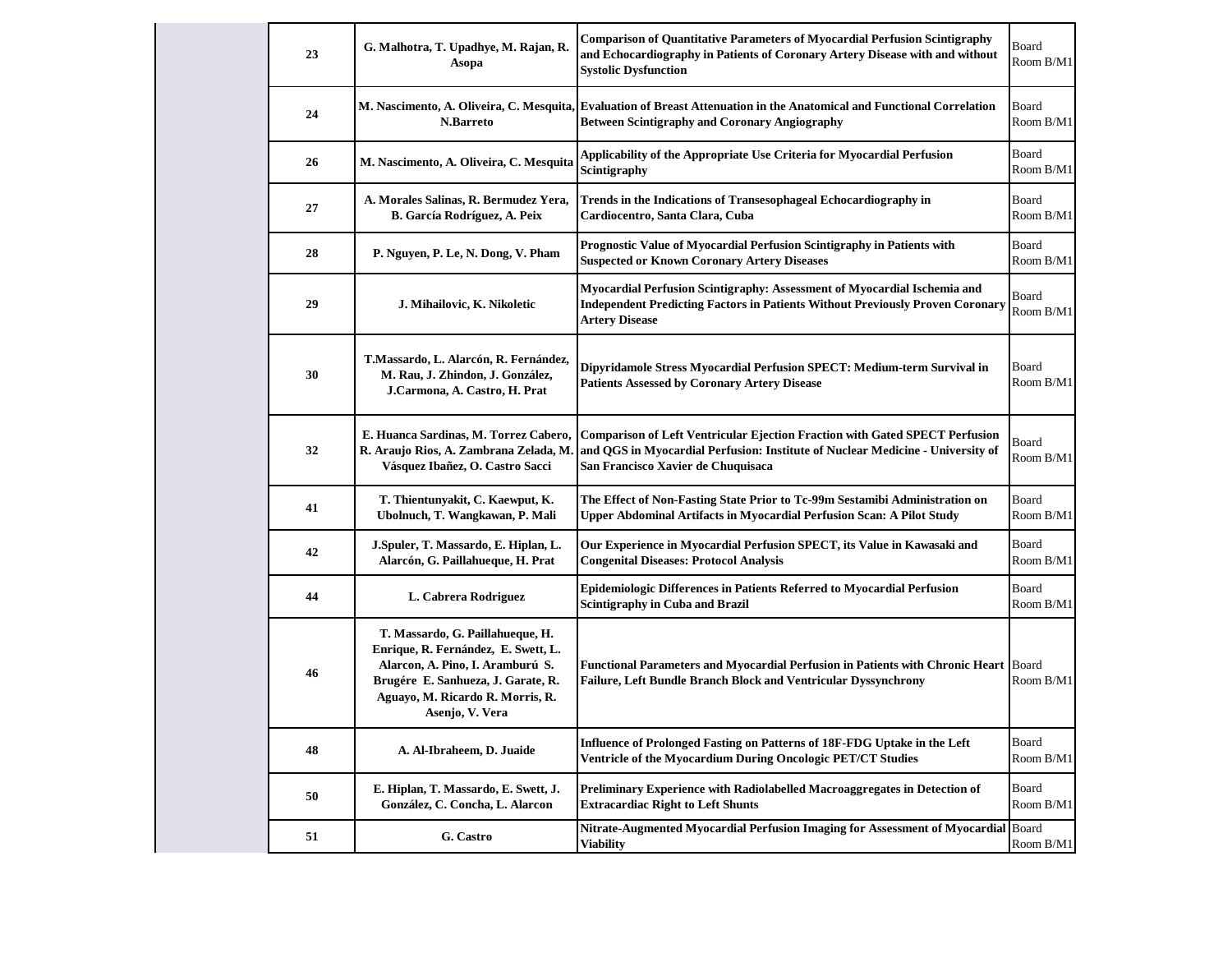| 23 | G. Malhotra, T. Upadhye, M. Rajan, R.<br>Asopa                                                                                                                                                           | <b>Comparison of Quantitative Parameters of Myocardial Perfusion Scintigraphy</b><br>and Echocardiography in Patients of Coronary Artery Disease with and without<br><b>Systolic Dysfunction</b>           | Board<br>Room B/M1 |
|----|----------------------------------------------------------------------------------------------------------------------------------------------------------------------------------------------------------|------------------------------------------------------------------------------------------------------------------------------------------------------------------------------------------------------------|--------------------|
| 24 | M. Nascimento, A. Oliveira, C. Mesquita,<br><b>N.Barreto</b>                                                                                                                                             | <b>Evaluation of Breast Attenuation in the Anatomical and Functional Correlation</b><br><b>Between Scintigraphy and Coronary Angiography</b>                                                               | Board<br>Room B/M1 |
| 26 | M. Nascimento, A. Oliveira, C. Mesquita                                                                                                                                                                  | Applicability of the Appropriate Use Criteria for Myocardial Perfusion<br>Scintigraphy                                                                                                                     | Board<br>Room B/M1 |
| 27 | A. Morales Salinas, R. Bermudez Yera,<br>B. García Rodríguez, A. Peix                                                                                                                                    | Trends in the Indications of Transesophageal Echocardiography in<br>Cardiocentro, Santa Clara, Cuba                                                                                                        | Board<br>Room B/M1 |
| 28 | P. Nguyen, P. Le, N. Dong, V. Pham                                                                                                                                                                       | Prognostic Value of Myocardial Perfusion Scintigraphy in Patients with<br><b>Suspected or Known Coronary Artery Diseases</b>                                                                               | Board<br>Room B/M1 |
| 29 | J. Mihailovic, K. Nikoletic                                                                                                                                                                              | Myocardial Perfusion Scintigraphy: Assessment of Myocardial Ischemia and<br><b>Independent Predicting Factors in Patients Without Previously Proven Coronary</b><br><b>Artery Disease</b>                  | Board<br>Room B/M1 |
| 30 | T.Massardo, L. Alarcón, R. Fernández,<br>M. Rau, J. Zhindon, J. González,<br>J.Carmona, A. Castro, H. Prat                                                                                               | Dipyridamole Stress Myocardial Perfusion SPECT: Medium-term Survival in<br><b>Patients Assessed by Coronary Artery Disease</b>                                                                             | Board<br>Room B/M1 |
| 32 | E. Huanca Sardinas, M. Torrez Cabero,<br>R. Araujo Rios, A. Zambrana Zelada, M.<br>Vásquez Ibañez, O. Castro Sacci                                                                                       | <b>Comparison of Left Ventricular Ejection Fraction with Gated SPECT Perfusion</b><br>and QGS in Myocardial Perfusion: Institute of Nuclear Medicine - University of<br>San Francisco Xavier de Chuquisaca | Board<br>Room B/M1 |
| 41 | T. Thientunyakit, C. Kaewput, K.<br>Ubolnuch, T. Wangkawan, P. Mali                                                                                                                                      | The Effect of Non-Fasting State Prior to Tc-99m Sestamibi Administration on<br>Upper Abdominal Artifacts in Myocardial Perfusion Scan: A Pilot Study                                                       | Board<br>Room B/M1 |
| 42 | J.Spuler, T. Massardo, E. Hiplan, L.<br>Alarcón, G. Paillahueque, H. Prat                                                                                                                                | Our Experience in Myocardial Perfusion SPECT, its Value in Kawasaki and<br><b>Congenital Diseases: Protocol Analysis</b>                                                                                   | Board<br>Room B/M1 |
| 44 | L. Cabrera Rodriguez                                                                                                                                                                                     | Epidemiologic Differences in Patients Referred to Myocardial Perfusion<br><b>Scintigraphy in Cuba and Brazil</b>                                                                                           | Board<br>Room B/M1 |
| 46 | T. Massardo, G. Paillahueque, H.<br>Enrique, R. Fernández, E. Swett, L.<br>Alarcon, A. Pino, I. Aramburú S.<br>Brugére E. Sanhueza, J. Garate, R.<br>Aguayo, M. Ricardo R. Morris, R.<br>Asenjo, V. Vera | Functional Parameters and Myocardial Perfusion in Patients with Chronic Heart Board<br>Failure, Left Bundle Branch Block and Ventricular Dyssynchrony                                                      | Room B/M1          |
| 48 | A. Al-Ibraheem, D. Juaide                                                                                                                                                                                | Influence of Prolonged Fasting on Patterns of 18F-FDG Uptake in the Left<br>Ventricle of the Myocardium During Oncologic PET/CT Studies                                                                    | Board<br>Room B/M1 |
| 50 | E. Hiplan, T. Massardo, E. Swett, J.<br>González, C. Concha, L. Alarcon                                                                                                                                  | Preliminary Experience with Radiolabelled Macroaggregates in Detection of<br><b>Extracardiac Right to Left Shunts</b>                                                                                      | Board<br>Room B/M1 |
| 51 | G. Castro                                                                                                                                                                                                | Nitrate-Augmented Myocardial Perfusion Imaging for Assessment of Myocardial Board<br><b>Viability</b>                                                                                                      | Room B/M1          |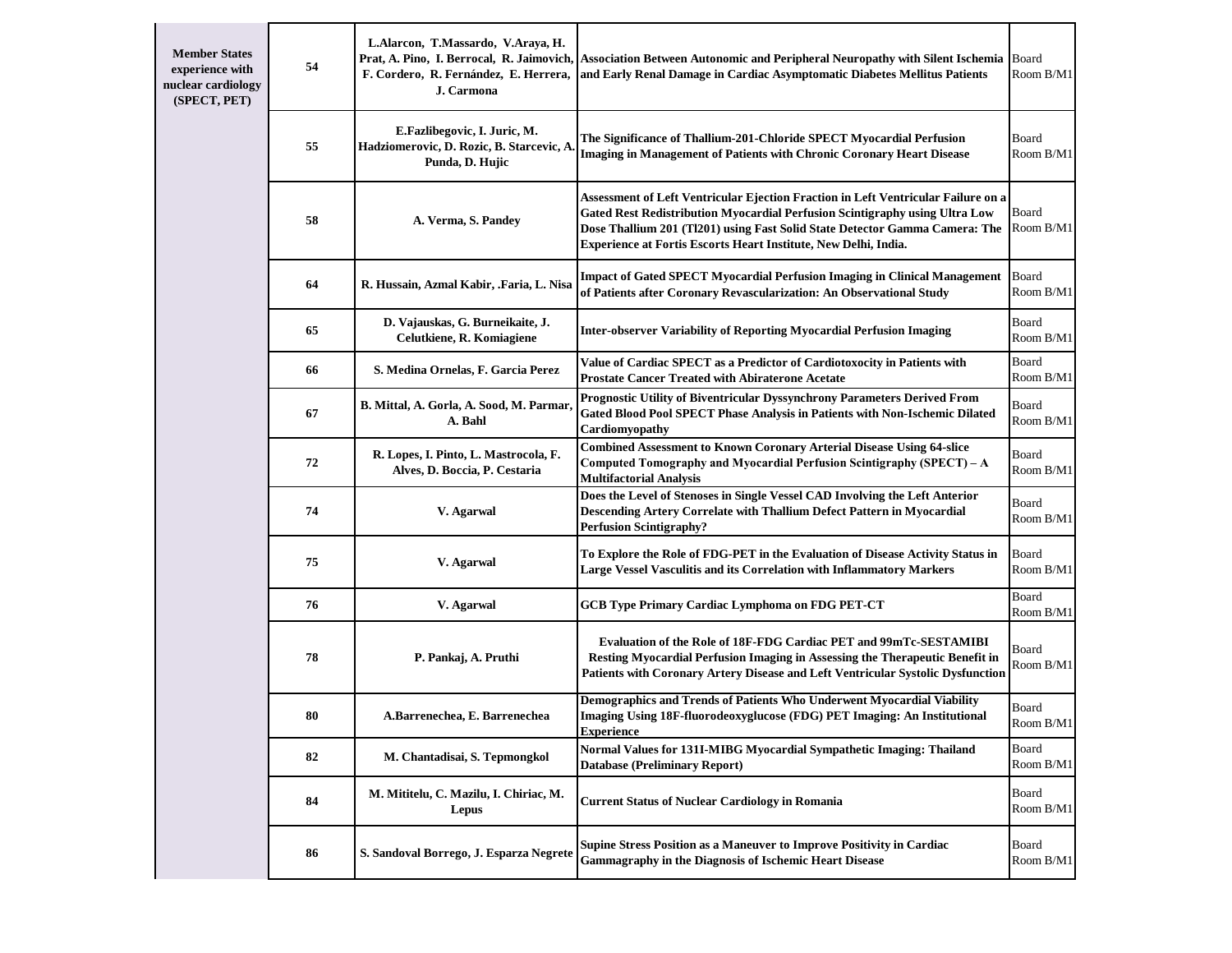| <b>Member States</b><br>experience with<br>nuclear cardiology<br>(SPECT, PET) | 54 | L.Alarcon, T.Massardo, V.Araya, H.<br>F. Cordero, R. Fernández, E. Herrera,<br>J. Carmona    | Prat, A. Pino, I. Berrocal, R. Jaimovich, Association Between Autonomic and Peripheral Neuropathy with Silent Ischemia<br>and Early Renal Damage in Cardiac Asymptomatic Diabetes Mellitus Patients                                                                                                                | Board<br>Room B/M1 |
|-------------------------------------------------------------------------------|----|----------------------------------------------------------------------------------------------|--------------------------------------------------------------------------------------------------------------------------------------------------------------------------------------------------------------------------------------------------------------------------------------------------------------------|--------------------|
|                                                                               | 55 | E.Fazlibegovic, I. Juric, M.<br>Hadziomerovic, D. Rozic, B. Starcevic, A.<br>Punda, D. Hujic | The Significance of Thallium-201-Chloride SPECT Myocardial Perfusion<br><b>Imaging in Management of Patients with Chronic Coronary Heart Disease</b>                                                                                                                                                               | Board<br>Room B/M1 |
|                                                                               | 58 | A. Verma, S. Pandey                                                                          | Assessment of Left Ventricular Ejection Fraction in Left Ventricular Failure on a<br>Gated Rest Redistribution Myocardial Perfusion Scintigraphy using Ultra Low<br>Dose Thallium 201 (Tl201) using Fast Solid State Detector Gamma Camera: The<br>Experience at Fortis Escorts Heart Institute, New Delhi, India. | Board<br>Room B/M1 |
|                                                                               | 64 | R. Hussain, Azmal Kabir, .Faria, L. Nisa                                                     | <b>Impact of Gated SPECT Myocardial Perfusion Imaging in Clinical Management</b><br>of Patients after Coronary Revascularization: An Observational Study                                                                                                                                                           | Board<br>Room B/M1 |
|                                                                               | 65 | D. Vajauskas, G. Burneikaite, J.<br>Celutkiene, R. Komiagiene                                | <b>Inter-observer Variability of Reporting Myocardial Perfusion Imaging</b>                                                                                                                                                                                                                                        | Board<br>Room B/M1 |
|                                                                               | 66 | S. Medina Ornelas, F. Garcia Perez                                                           | Value of Cardiac SPECT as a Predictor of Cardiotoxocity in Patients with<br><b>Prostate Cancer Treated with Abiraterone Acetate</b>                                                                                                                                                                                | Board<br>Room B/M1 |
|                                                                               | 67 | B. Mittal, A. Gorla, A. Sood, M. Parmar,<br>A. Bahl                                          | Prognostic Utility of Biventricular Dyssynchrony Parameters Derived From<br>Gated Blood Pool SPECT Phase Analysis in Patients with Non-Ischemic Dilated<br>Cardiomyopathy                                                                                                                                          | Board<br>Room B/M1 |
|                                                                               | 72 | R. Lopes, I. Pinto, L. Mastrocola, F.<br>Alves, D. Boccia, P. Cestaria                       | <b>Combined Assessment to Known Coronary Arterial Disease Using 64-slice</b><br>Computed Tomography and Myocardial Perfusion Scintigraphy (SPECT) – A<br><b>Multifactorial Analysis</b>                                                                                                                            | Board<br>Room B/M1 |
|                                                                               | 74 | V. Agarwal                                                                                   | Does the Level of Stenoses in Single Vessel CAD Involving the Left Anterior<br>Descending Artery Correlate with Thallium Defect Pattern in Myocardial<br><b>Perfusion Scintigraphy?</b>                                                                                                                            | Board<br>Room B/M1 |
|                                                                               | 75 | V. Agarwal                                                                                   | To Explore the Role of FDG-PET in the Evaluation of Disease Activity Status in<br>Large Vessel Vasculitis and its Correlation with Inflammatory Markers                                                                                                                                                            | Board<br>Room B/M1 |
|                                                                               | 76 | V. Agarwal                                                                                   | <b>GCB Type Primary Cardiac Lymphoma on FDG PET-CT</b>                                                                                                                                                                                                                                                             | Board<br>Room B/M1 |
|                                                                               | 78 | P. Pankaj, A. Pruthi                                                                         | <b>Evaluation of the Role of 18F-FDG Cardiac PET and 99mTc-SESTAMIBI</b><br>Resting Myocardial Perfusion Imaging in Assessing the Therapeutic Benefit in<br>Patients with Coronary Artery Disease and Left Ventricular Systolic Dysfunction                                                                        | Board<br>Room B/M1 |
|                                                                               | 80 | A.Barrenechea, E. Barrenechea                                                                | Demographics and Trends of Patients Who Underwent Myocardial Viability<br>Imaging Using 18F-fluorodeoxyglucose (FDG) PET Imaging: An Institutional<br><b>Experience</b>                                                                                                                                            | Board<br>Room B/M1 |
|                                                                               | 82 | M. Chantadisai, S. Tepmongkol                                                                | Normal Values for 131I-MIBG Myocardial Sympathetic Imaging: Thailand<br><b>Database (Preliminary Report)</b>                                                                                                                                                                                                       | Board<br>Room B/M1 |
|                                                                               | 84 | M. Mititelu, C. Mazilu, I. Chiriac, M.<br>Lepus                                              | <b>Current Status of Nuclear Cardiology in Romania</b>                                                                                                                                                                                                                                                             | Board<br>Room B/M1 |
|                                                                               | 86 | S. Sandoval Borrego, J. Esparza Negrete                                                      | <b>Supine Stress Position as a Maneuver to Improve Positivity in Cardiac</b><br><b>Gammagraphy in the Diagnosis of Ischemic Heart Disease</b>                                                                                                                                                                      | Board<br>Room B/M1 |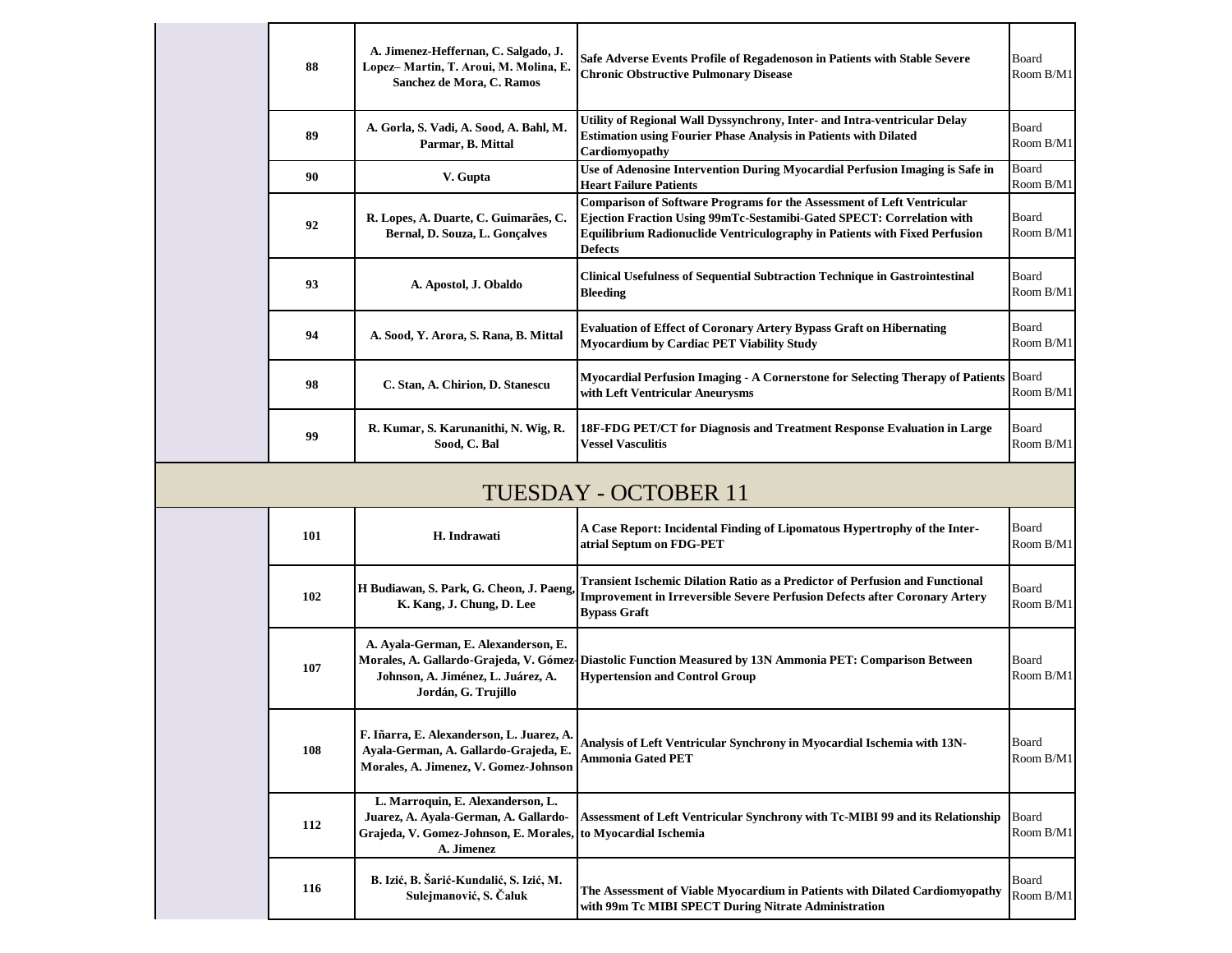| 88                   | A. Jimenez-Heffernan, C. Salgado, J.<br>Lopez-Martin, T. Aroui, M. Molina, E.<br>Sanchez de Mora, C. Ramos | Safe Adverse Events Profile of Regadenoson in Patients with Stable Severe<br><b>Chronic Obstructive Pulmonary Disease</b>                                                                                                                              | Board<br>Room B/M1        |  |  |
|----------------------|------------------------------------------------------------------------------------------------------------|--------------------------------------------------------------------------------------------------------------------------------------------------------------------------------------------------------------------------------------------------------|---------------------------|--|--|
| 89                   | A. Gorla, S. Vadi, A. Sood, A. Bahl, M.<br>Parmar, B. Mittal                                               | Utility of Regional Wall Dyssynchrony, Inter- and Intra-ventricular Delay<br><b>Estimation using Fourier Phase Analysis in Patients with Dilated</b><br>Cardiomyopathy                                                                                 | Board<br>Room B/M1        |  |  |
| 90                   | V. Gupta                                                                                                   | Use of Adenosine Intervention During Myocardial Perfusion Imaging is Safe in<br><b>Heart Failure Patients</b>                                                                                                                                          | Board<br>Room B/M1        |  |  |
| 92                   | R. Lopes, A. Duarte, C. Guimarães, C.<br>Bernal, D. Souza, L. Goncalves                                    | Comparison of Software Programs for the Assessment of Left Ventricular<br>Ejection Fraction Using 99mTc-Sestamibi-Gated SPECT: Correlation with<br><b>Equilibrium Radionuclide Ventriculography in Patients with Fixed Perfusion</b><br><b>Defects</b> | Board<br>Room B/M1        |  |  |
| 93                   | A. Apostol, J. Obaldo                                                                                      | <b>Clinical Usefulness of Sequential Subtraction Technique in Gastrointestinal</b><br><b>Bleeding</b>                                                                                                                                                  | Board<br>Room B/M1        |  |  |
| 94                   | A. Sood, Y. Arora, S. Rana, B. Mittal                                                                      | <b>Evaluation of Effect of Coronary Artery Bypass Graft on Hibernating</b><br><b>Myocardium by Cardiac PET Viability Study</b>                                                                                                                         | <b>Board</b><br>Room B/M1 |  |  |
| 98                   | C. Stan, A. Chirion, D. Stanescu                                                                           | Myocardial Perfusion Imaging - A Cornerstone for Selecting Therapy of Patients<br>with Left Ventricular Aneurysms                                                                                                                                      | Board<br>Room B/M1        |  |  |
| 99                   | R. Kumar, S. Karunanithi, N. Wig, R.<br>Sood, C. Bal                                                       | 18F-FDG PET/CT for Diagnosis and Treatment Response Evaluation in Large<br><b>Vessel Vasculitis</b>                                                                                                                                                    | Board<br>Room B/M1        |  |  |
| TUESDAY - OCTOBER 11 |                                                                                                            |                                                                                                                                                                                                                                                        |                           |  |  |
| 101                  | H. Indrawati                                                                                               | A Case Report: Incidental Finding of Lipomatous Hypertrophy of the Inter-<br>atrial Septum on FDG-PET                                                                                                                                                  | Board<br>Room B/M1        |  |  |
|                      |                                                                                                            | Transient Ischemic Dilation Ratio as a Predictor of Perfusion and Functional                                                                                                                                                                           |                           |  |  |

| 101 | H. Indrawati                                                                                                                                              | A Case Report: Incidental Finding of Lipomatous Hypertrophy of the Inter-<br>atrial Septum on FDG-PET                                                                                           | Board<br>Room B/M1        |
|-----|-----------------------------------------------------------------------------------------------------------------------------------------------------------|-------------------------------------------------------------------------------------------------------------------------------------------------------------------------------------------------|---------------------------|
| 102 | H Budiawan, S. Park, G. Cheon, J. Paeng,<br>K. Kang, J. Chung, D. Lee                                                                                     | <b>Transient Ischemic Dilation Ratio as a Predictor of Perfusion and Functional</b><br><b>Improvement in Irreversible Severe Perfusion Defects after Coronary Artery</b><br><b>Bypass Graft</b> | Board<br>Room B/M1        |
| 107 | A. Ayala-German, E. Alexanderson, E.<br>Johnson, A. Jiménez, L. Juárez, A.<br>Jordán, G. Trujillo                                                         | Morales, A. Gallardo-Grajeda, V. Gómez-Diastolic Function Measured by 13N Ammonia PET: Comparison Between<br><b>Hypertension and Control Group</b>                                              | Board<br>Room B/M1        |
| 108 | F. Iñarra, E. Alexanderson, L. Juarez, A.<br>Ayala-German, A. Gallardo-Grajeda, E.<br>Morales, A. Jimenez, V. Gomez-Johnson                               | Analysis of Left Ventricular Synchrony in Myocardial Ischemia with 13N-<br><b>Ammonia Gated PET</b>                                                                                             | Board<br>Room B/M1        |
| 112 | L. Marroquin, E. Alexanderson, L.<br>Juarez, A. Ayala-German, A. Gallardo-<br>Grajeda, V. Gomez-Johnson, E. Morales, to Myocardial Ischemia<br>A. Jimenez | Assessment of Left Ventricular Synchrony with Tc-MIBI 99 and its Relationship                                                                                                                   | Board<br>Room B/M1        |
| 116 | B. Izić, B. Šarić-Kundalić, S. Izić, M.<br>Sulejmanović, S. Čaluk                                                                                         | The Assessment of Viable Myocardium in Patients with Dilated Cardiomyopathy<br>with 99m Tc MIBI SPECT During Nitrate Administration                                                             | <b>Board</b><br>Room B/M1 |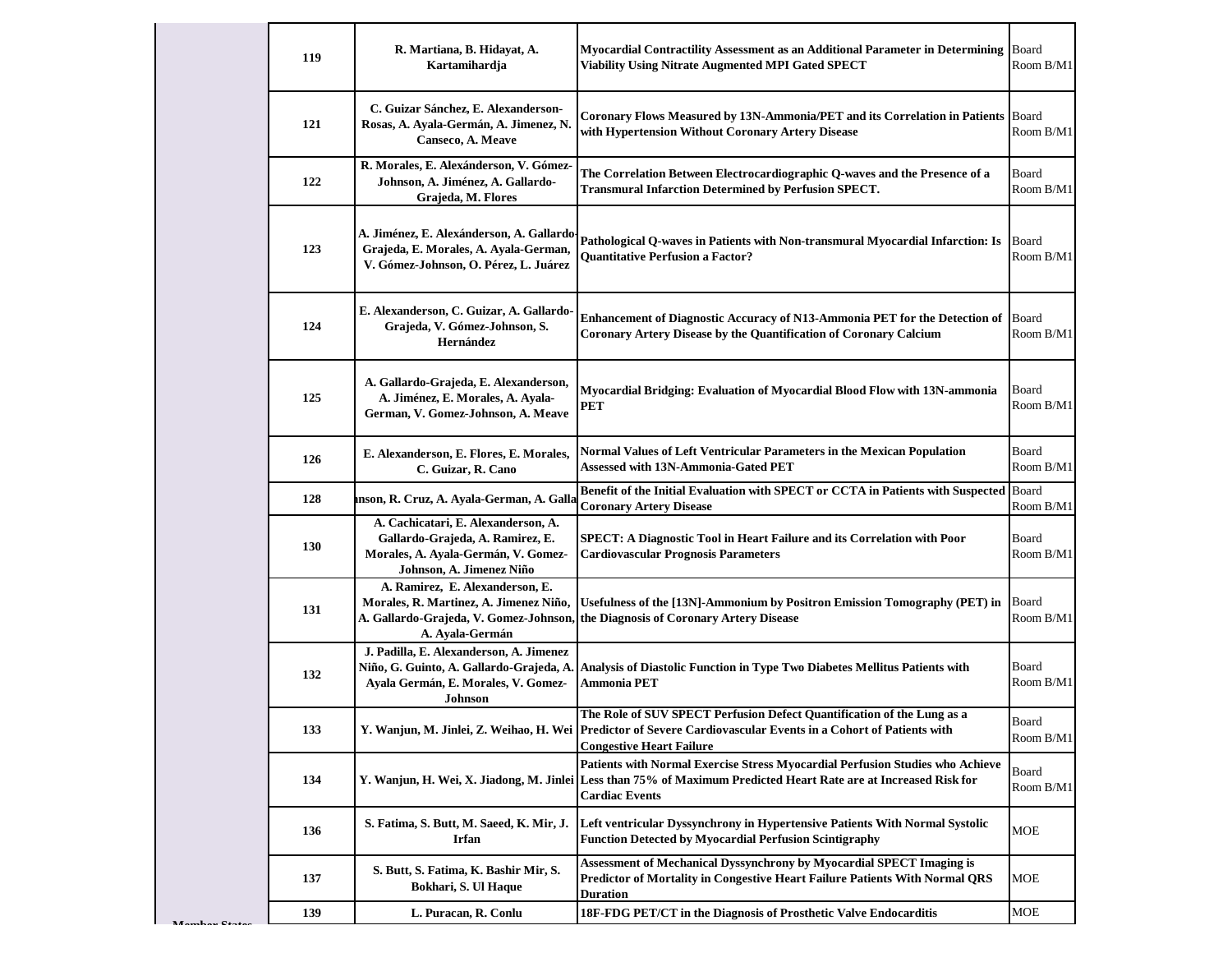|  | 119 | R. Martiana, B. Hidayat, A.<br>Kartamihardja                                                                                               | Myocardial Contractility Assessment as an Additional Parameter in Determining<br><b>Viability Using Nitrate Augmented MPI Gated SPECT</b>                                                                                     | Board<br>Room B/M1 |
|--|-----|--------------------------------------------------------------------------------------------------------------------------------------------|-------------------------------------------------------------------------------------------------------------------------------------------------------------------------------------------------------------------------------|--------------------|
|  | 121 | C. Guizar Sánchez, E. Alexanderson-<br>Rosas, A. Ayala-Germán, A. Jimenez, N<br>Canseco, A. Meave                                          | Coronary Flows Measured by 13N-Ammonia/PET and its Correlation in Patients<br>with Hypertension Without Coronary Artery Disease                                                                                               | Board<br>Room B/M1 |
|  | 122 | R. Morales, E. Alexánderson, V. Gómez-<br>Johnson, A. Jiménez, A. Gallardo-<br>Grajeda, M. Flores                                          | The Correlation Between Electrocardiographic Q-waves and the Presence of a<br><b>Transmural Infarction Determined by Perfusion SPECT.</b>                                                                                     | Board<br>Room B/M1 |
|  | 123 | A. Jiménez, E. Alexánderson, A. Gallardo-<br>Grajeda, E. Morales, A. Ayala-German,<br>V. Gómez-Johnson, O. Pérez, L. Juárez                | Pathological Q-waves in Patients with Non-transmural Myocardial Infarction: Is<br><b>Ouantitative Perfusion a Factor?</b>                                                                                                     | Board<br>Room B/M1 |
|  | 124 | E. Alexanderson, C. Guizar, A. Gallardo-<br>Grajeda, V. Gómez-Johnson, S.<br>Hernández                                                     | Enhancement of Diagnostic Accuracy of N13-Ammonia PET for the Detection of<br><b>Coronary Artery Disease by the Quantification of Coronary Calcium</b>                                                                        | Board<br>Room B/M1 |
|  | 125 | A. Gallardo-Grajeda, E. Alexanderson,<br>A. Jiménez, E. Morales, A. Ayala-<br>German, V. Gomez-Johnson, A. Meave                           | Myocardial Bridging: Evaluation of Myocardial Blood Flow with 13N-ammonia<br><b>PET</b>                                                                                                                                       | Board<br>Room B/M1 |
|  | 126 | E. Alexanderson, E. Flores, E. Morales,<br>C. Guizar, R. Cano                                                                              | Normal Values of Left Ventricular Parameters in the Mexican Population<br><b>Assessed with 13N-Ammonia-Gated PET</b>                                                                                                          | Board<br>Room B/M1 |
|  | 128 | mson, R. Cruz, A. Ayala-German, A. Galla                                                                                                   | Benefit of the Initial Evaluation with SPECT or CCTA in Patients with Suspected Board<br><b>Coronary Artery Disease</b>                                                                                                       | Room B/M1          |
|  | 130 | A. Cachicatari, E. Alexanderson, A.<br>Gallardo-Grajeda, A. Ramirez, E.<br>Morales, A. Ayala-Germán, V. Gomez-<br>Johnson, A. Jimenez Niño | SPECT: A Diagnostic Tool in Heart Failure and its Correlation with Poor<br><b>Cardiovascular Prognosis Parameters</b>                                                                                                         | Board<br>Room B/M1 |
|  | 131 | A. Ramirez, E. Alexanderson, E.<br>Morales, R. Martinez, A. Jimenez Niño,<br>A. Ayala-Germán                                               | Usefulness of the [13N]-Ammonium by Positron Emission Tomography (PET) in<br>A. Gallardo-Grajeda, V. Gomez-Johnson, the Diagnosis of Coronary Artery Disease                                                                  | Board<br>Room B/M1 |
|  | 132 | J. Padilla, E. Alexanderson, A. Jimenez<br>Ayala Germán, E. Morales, V. Gomez-<br><b>Johnson</b>                                           | Niño, G. Guinto, A. Gallardo-Grajeda, A. Analysis of Diastolic Function in Type Two Diabetes Mellitus Patients with<br>Ammonia PET                                                                                            | Board<br>Room B/M1 |
|  | 133 |                                                                                                                                            | The Role of SUV SPECT Perfusion Defect Quantification of the Lung as a<br>Y. Wanjun, M. Jinlei, Z. Weihao, H. Wei   Predictor of Severe Cardiovascular Events in a Cohort of Patients with<br><b>Congestive Heart Failure</b> | Board<br>Room B/M1 |
|  | 134 |                                                                                                                                            | Patients with Normal Exercise Stress Myocardial Perfusion Studies who Achieve<br>Y. Wanjun, H. Wei, X. Jiadong, M. Jinlei Less than 75% of Maximum Predicted Heart Rate are at Increased Risk for<br><b>Cardiac Events</b>    | Board<br>Room B/M1 |
|  | 136 | S. Fatima, S. Butt, M. Saeed, K. Mir, J.<br>Irfan                                                                                          | Left ventricular Dyssynchrony in Hypertensive Patients With Normal Systolic<br><b>Function Detected by Myocardial Perfusion Scintigraphy</b>                                                                                  | <b>MOE</b>         |
|  | 137 | S. Butt, S. Fatima, K. Bashir Mir, S.<br>Bokhari, S. Ul Haque                                                                              | Assessment of Mechanical Dyssynchrony by Myocardial SPECT Imaging is<br>Predictor of Mortality in Congestive Heart Failure Patients With Normal QRS<br>Duration                                                               | MOE                |
|  | 139 | L. Puracan, R. Conlu                                                                                                                       | 18F-FDG PET/CT in the Diagnosis of Prosthetic Valve Endocarditis                                                                                                                                                              | <b>MOE</b>         |

**M**<sub>o</sub>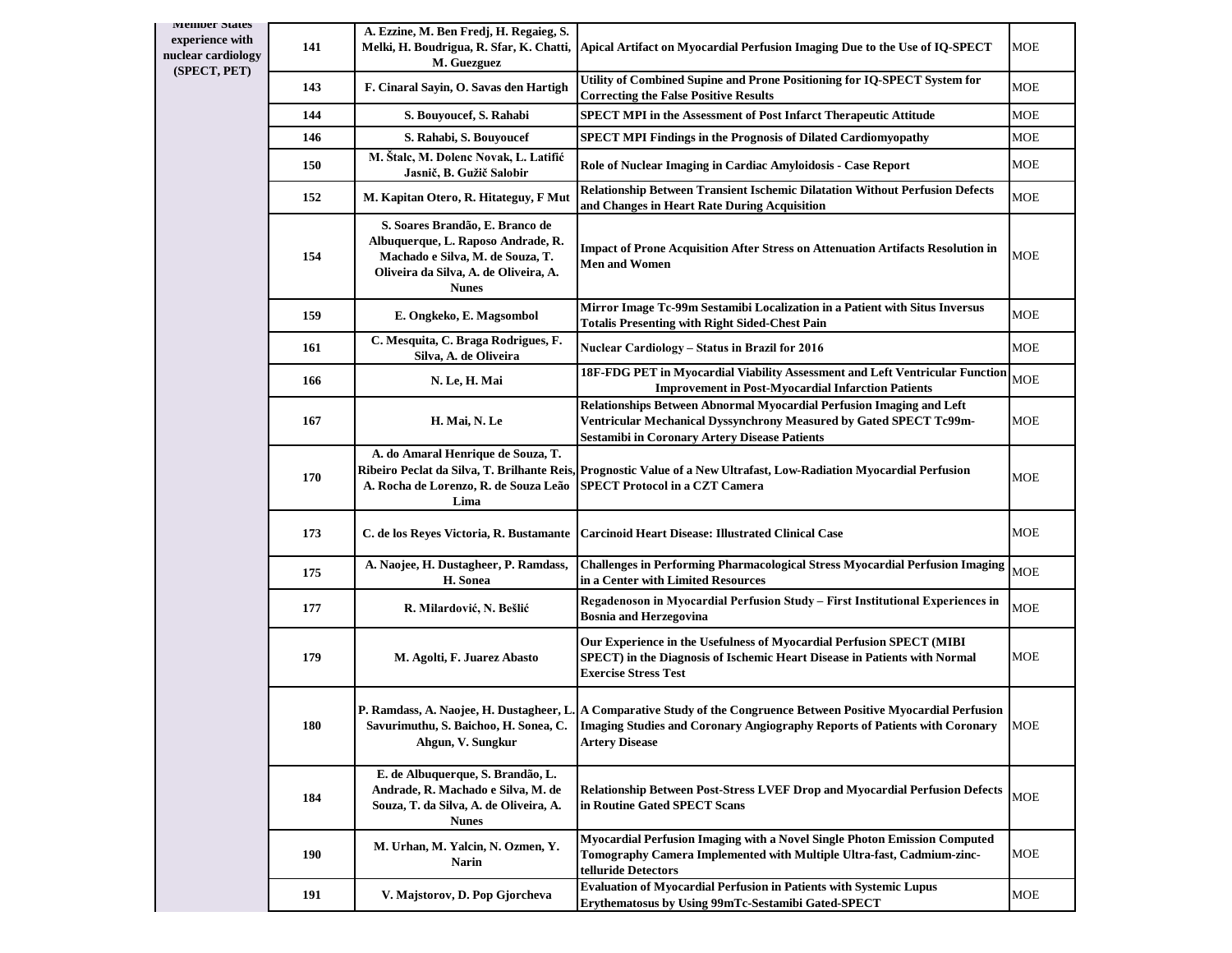| <b>Member States</b><br>experience with<br>nuclear cardiology<br>(SPECT, PET) | 141        | A. Ezzine, M. Ben Fredj, H. Regaieg, S.<br>Melki, H. Boudrigua, R. Sfar, K. Chatti,<br>M. Guezguez                                                                 | Apical Artifact on Myocardial Perfusion Imaging Due to the Use of IQ-SPECT                                                                                                                                                         | MOE          |
|-------------------------------------------------------------------------------|------------|--------------------------------------------------------------------------------------------------------------------------------------------------------------------|------------------------------------------------------------------------------------------------------------------------------------------------------------------------------------------------------------------------------------|--------------|
|                                                                               | 143        | F. Cinaral Sayin, O. Savas den Hartigh                                                                                                                             | Utility of Combined Supine and Prone Positioning for IQ-SPECT System for<br><b>Correcting the False Positive Results</b>                                                                                                           | MOE          |
|                                                                               | 144        | S. Bouyoucef, S. Rahabi                                                                                                                                            | <b>SPECT MPI in the Assessment of Post Infarct Therapeutic Attitude</b>                                                                                                                                                            | $_{\rm MOE}$ |
|                                                                               | 146        | S. Rahabi, S. Bouyoucef                                                                                                                                            | <b>SPECT MPI Findings in the Prognosis of Dilated Cardiomyopathy</b>                                                                                                                                                               | MOE          |
|                                                                               | 150        | M. Štalc, M. Dolenc Novak, L. Latifić<br>Jasnič, B. Gužič Salobir                                                                                                  | Role of Nuclear Imaging in Cardiac Amyloidosis - Case Report                                                                                                                                                                       | MOE          |
|                                                                               | 152        | M. Kapitan Otero, R. Hitateguy, F Mut                                                                                                                              | Relationship Between Transient Ischemic Dilatation Without Perfusion Defects<br>and Changes in Heart Rate During Acquisition                                                                                                       | MOE          |
|                                                                               | 154        | S. Soares Brandão, E. Branco de<br>Albuquerque, L. Raposo Andrade, R.<br>Machado e Silva, M. de Souza, T.<br>Oliveira da Silva, A. de Oliveira, A.<br><b>Nunes</b> | Impact of Prone Acquisition After Stress on Attenuation Artifacts Resolution in<br><b>Men and Women</b>                                                                                                                            | MOE          |
|                                                                               | 159        | E. Ongkeko, E. Magsombol                                                                                                                                           | Mirror Image Tc-99m Sestamibi Localization in a Patient with Situs Inversus<br>Totalis Presenting with Right Sided-Chest Pain                                                                                                      | <b>MOE</b>   |
|                                                                               | 161        | C. Mesquita, C. Braga Rodrigues, F.<br>Silva, A. de Oliveira                                                                                                       | Nuclear Cardiology – Status in Brazil for 2016                                                                                                                                                                                     | MOE          |
|                                                                               | 166        | N. Le, H. Mai                                                                                                                                                      | 18F-FDG PET in Myocardial Viability Assessment and Left Ventricular Function<br><b>Improvement in Post-Myocardial Infarction Patients</b>                                                                                          | <b>MOE</b>   |
|                                                                               | 167        | H. Mai, N. Le                                                                                                                                                      | Relationships Between Abnormal Myocardial Perfusion Imaging and Left<br>Ventricular Mechanical Dyssynchrony Measured by Gated SPECT Tc99m-<br><b>Sestamibi in Coronary Artery Disease Patients</b>                                 | MOE          |
|                                                                               | 170        | A. do Amaral Henrique de Souza, T.<br>A. Rocha de Lorenzo, R. de Souza Leão<br>Lima                                                                                | Ribeiro Peclat da Silva, T. Brilhante Reis, Prognostic Value of a New Ultrafast, Low-Radiation Myocardial Perfusion<br>SPECT Protocol in a CZT Camera                                                                              | MOE          |
|                                                                               | 173        | C. de los Reyes Victoria, R. Bustamante                                                                                                                            | <b>Carcinoid Heart Disease: Illustrated Clinical Case</b>                                                                                                                                                                          | MOE          |
|                                                                               | 175        | A. Naojee, H. Dustagheer, P. Ramdass,<br>H. Sonea                                                                                                                  | Challenges in Performing Pharmacological Stress Myocardial Perfusion Imaging<br>in a Center with Limited Resources                                                                                                                 | <b>MOE</b>   |
|                                                                               | 177        | R. Milardović, N. Bešlić                                                                                                                                           | Regadenoson in Myocardial Perfusion Study - First Institutional Experiences in<br><b>Bosnia and Herzegovina</b>                                                                                                                    | MOE          |
|                                                                               | 179        | M. Agolti, F. Juarez Abasto                                                                                                                                        | Our Experience in the Usefulness of Myocardial Perfusion SPECT (MIBI<br>SPECT) in the Diagnosis of Ischemic Heart Disease in Patients with Normal<br><b>Exercise Stress Test</b>                                                   | MOE          |
|                                                                               | 180        | Savurimuthu, S. Baichoo, H. Sonea, C.<br>Ahgun, V. Sungkur                                                                                                         | P. Ramdass, A. Naojee, H. Dustagheer, L. A Comparative Study of the Congruence Between Positive Myocardial Perfusion<br><b>Imaging Studies and Coronary Angiography Reports of Patients with Coronary</b><br><b>Artery Disease</b> | <b>MOE</b>   |
|                                                                               | 184        | E. de Albuquerque, S. Brandão, L.<br>Andrade, R. Machado e Silva, M. de<br>Souza, T. da Silva, A. de Oliveira, A.<br><b>Nunes</b>                                  | <b>Relationship Between Post-Stress LVEF Drop and Myocardial Perfusion Defects</b><br>in Routine Gated SPECT Scans                                                                                                                 | <b>MOE</b>   |
|                                                                               | <b>190</b> | M. Urhan, M. Yalcin, N. Ozmen, Y.<br>Narin                                                                                                                         | Myocardial Perfusion Imaging with a Novel Single Photon Emission Computed<br>Tomography Camera Implemented with Multiple Ultra-fast, Cadmium-zinc-<br>telluride Detectors                                                          | <b>MOE</b>   |
|                                                                               | 191        | V. Majstorov, D. Pop Gjorcheva                                                                                                                                     | <b>Evaluation of Myocardial Perfusion in Patients with Systemic Lupus</b><br>Erythematosus by Using 99mTc-Sestamibi Gated-SPECT                                                                                                    | MOE          |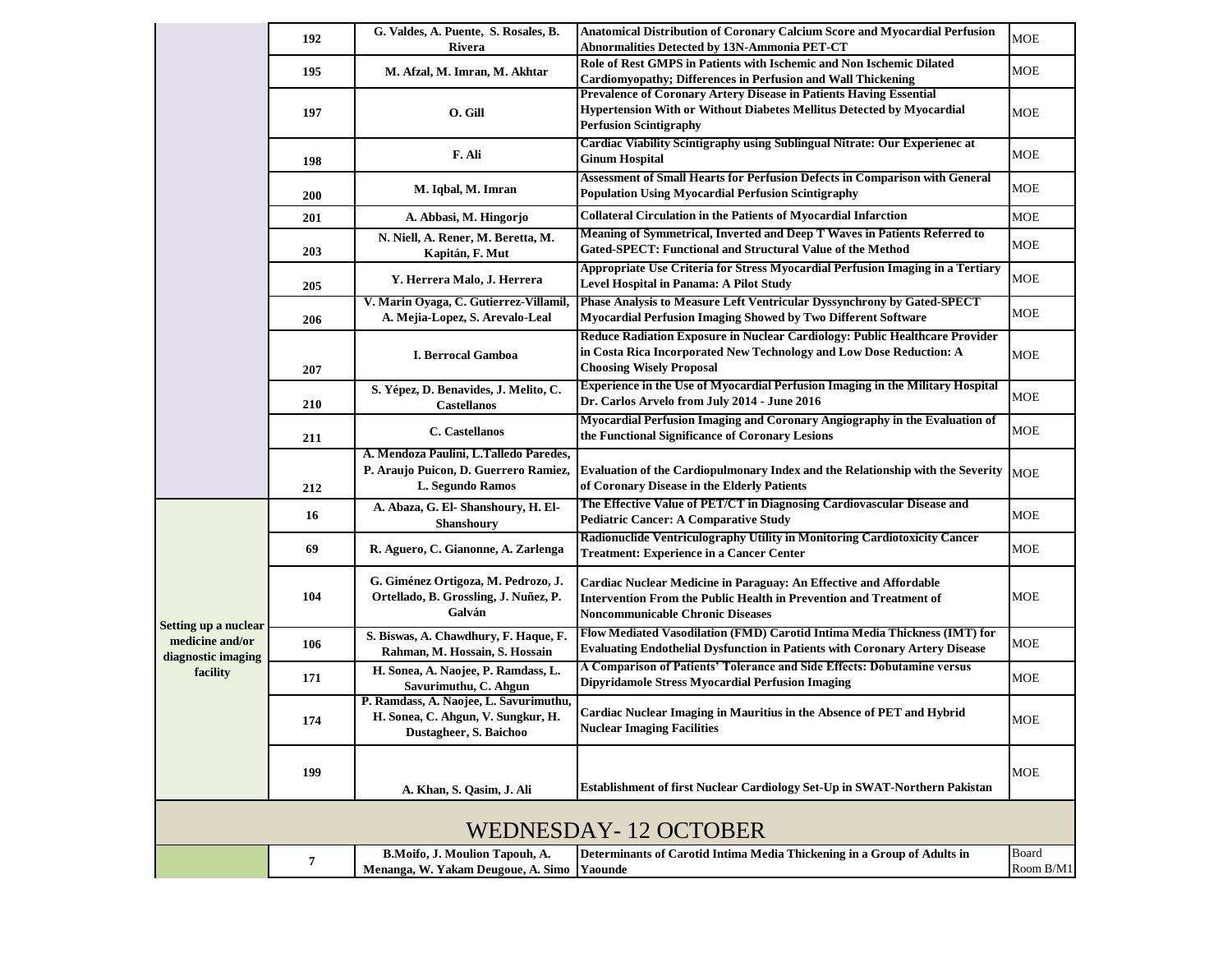|                                       | 192 | G. Valdes, A. Puente, S. Rosales, B.                                                                   | Anatomical Distribution of Coronary Calcium Score and Myocardial Perfusion                                                                                                            | <b>MOE</b>         |
|---------------------------------------|-----|--------------------------------------------------------------------------------------------------------|---------------------------------------------------------------------------------------------------------------------------------------------------------------------------------------|--------------------|
|                                       |     | Rivera                                                                                                 | <b>Abnormalities Detected by 13N-Ammonia PET-CT</b>                                                                                                                                   |                    |
|                                       | 195 | M. Afzal, M. Imran, M. Akhtar                                                                          | Role of Rest GMPS in Patients with Ischemic and Non Ischemic Dilated<br>Cardiomyopathy; Differences in Perfusion and Wall Thickening                                                  | <b>MOE</b>         |
|                                       | 197 | O. Gill                                                                                                | Prevalence of Coronary Artery Disease in Patients Having Essential<br>Hypertension With or Without Diabetes Mellitus Detected by Myocardial<br><b>Perfusion Scintigraphy</b>          | <b>MOE</b>         |
|                                       | 198 | F. Ali                                                                                                 | Cardiac Viability Scintigraphy using Sublingual Nitrate: Our Experienec at<br><b>Ginum Hospital</b>                                                                                   | <b>MOE</b>         |
|                                       | 200 | M. Iqbal, M. Imran                                                                                     | Assessment of Small Hearts for Perfusion Defects in Comparison with General<br>Population Using Myocardial Perfusion Scintigraphy                                                     | <b>MOE</b>         |
|                                       | 201 | A. Abbasi, M. Hingorjo                                                                                 | <b>Collateral Circulation in the Patients of Myocardial Infarction</b>                                                                                                                | <b>MOE</b>         |
|                                       | 203 | N. Niell, A. Rener, M. Beretta, M.<br>Kapitán, F. Mut                                                  | Meaning of Symmetrical, Inverted and Deep T Waves in Patients Referred to<br>Gated-SPECT: Functional and Structural Value of the Method                                               | <b>MOE</b>         |
|                                       | 205 | Y. Herrera Malo, J. Herrera                                                                            | Appropriate Use Criteria for Stress Myocardial Perfusion Imaging in a Tertiary<br>Level Hospital in Panama: A Pilot Study                                                             | <b>MOE</b>         |
|                                       | 206 | V. Marin Oyaga, C. Gutierrez-Villamil,<br>A. Mejia-Lopez, S. Arevalo-Leal                              | Phase Analysis to Measure Left Ventricular Dyssynchrony by Gated-SPECT<br>Myocardial Perfusion Imaging Showed by Two Different Software                                               | MOE                |
|                                       | 207 | I. Berrocal Gamboa                                                                                     | Reduce Radiation Exposure in Nuclear Cardiology: Public Healthcare Provider<br>in Costa Rica Incorporated New Technology and Low Dose Reduction: A<br><b>Choosing Wisely Proposal</b> | <b>MOE</b>         |
|                                       | 210 | S. Yépez, D. Benavides, J. Melito, C.<br><b>Castellanos</b>                                            | <b>Experience in the Use of Myocardial Perfusion Imaging in the Military Hospital</b><br>Dr. Carlos Arvelo from July 2014 - June 2016                                                 | MOE                |
|                                       | 211 | C. Castellanos                                                                                         | Myocardial Perfusion Imaging and Coronary Angiography in the Evaluation of<br>the Functional Significance of Coronary Lesions                                                         | <b>MOE</b>         |
|                                       | 212 | A. Mendoza Paulini, L.Talledo Paredes,<br>P. Araujo Puicon, D. Guerrero Ramiez,<br>L. Segundo Ramos    | Evaluation of the Cardiopulmonary Index and the Relationship with the Severity<br>of Coronary Disease in the Elderly Patients                                                         | <b>MOE</b>         |
|                                       | 16  | A. Abaza, G. El- Shanshoury, H. El-<br><b>Shanshoury</b>                                               | The Effective Value of PET/CT in Diagnosing Cardiovascular Disease and<br><b>Pediatric Cancer: A Comparative Study</b>                                                                | <b>MOE</b>         |
|                                       | 69  | R. Aguero, C. Gianonne, A. Zarlenga                                                                    | Radionuclide Ventriculography Utility in Monitoring Cardiotoxicity Cancer<br><b>Treatment: Experience in a Cancer Center</b>                                                          | MOE                |
| Setting up a nuclear                  | 104 | G. Giménez Ortigoza, M. Pedrozo, J.<br>Ortellado, B. Grossling, J. Nuñez, P.<br>Galván                 | Cardiac Nuclear Medicine in Paraguay: An Effective and Affordable<br>Intervention From the Public Health in Prevention and Treatment of<br><b>Noncommunicable Chronic Diseases</b>    | <b>MOE</b>         |
| medicine and/or<br>diagnostic imaging | 106 | S. Biswas, A. Chawdhury, F. Haque, F.<br>Rahman, M. Hossain, S. Hossain                                | Flow Mediated Vasodilation (FMD) Carotid Intima Media Thickness (IMT) for<br><b>Evaluating Endothelial Dysfunction in Patients with Coronary Artery Disease</b>                       | MOE                |
| facility                              | 171 | H. Sonea, A. Naojee, P. Ramdass, L.<br>Savurimuthu, C. Ahgun                                           | A Comparison of Patients' Tolerance and Side Effects: Dobutamine versus<br>Dipyridamole Stress Myocardial Perfusion Imaging                                                           | MOE                |
|                                       | 174 | P. Ramdass, A. Naojee, L. Savurimuthu,<br>H. Sonea, C. Ahgun, V. Sungkur, H.<br>Dustagheer, S. Baichoo | Cardiac Nuclear Imaging in Mauritius in the Absence of PET and Hybrid<br><b>Nuclear Imaging Facilities</b>                                                                            | MOE                |
|                                       | 199 | A. Khan, S. Qasim, J. Ali                                                                              | Establishment of first Nuclear Cardiology Set-Up in SWAT-Northern Pakistan                                                                                                            | <b>MOE</b>         |
|                                       |     |                                                                                                        | <b>WEDNESDAY-12 OCTOBER</b>                                                                                                                                                           |                    |
|                                       | 7   | B.Moifo, J. Moulion Tapouh, A.<br>Menanga, W. Yakam Deugoue, A. Simo                                   | Determinants of Carotid Intima Media Thickening in a Group of Adults in<br>Yaounde                                                                                                    | Board<br>Room B/M1 |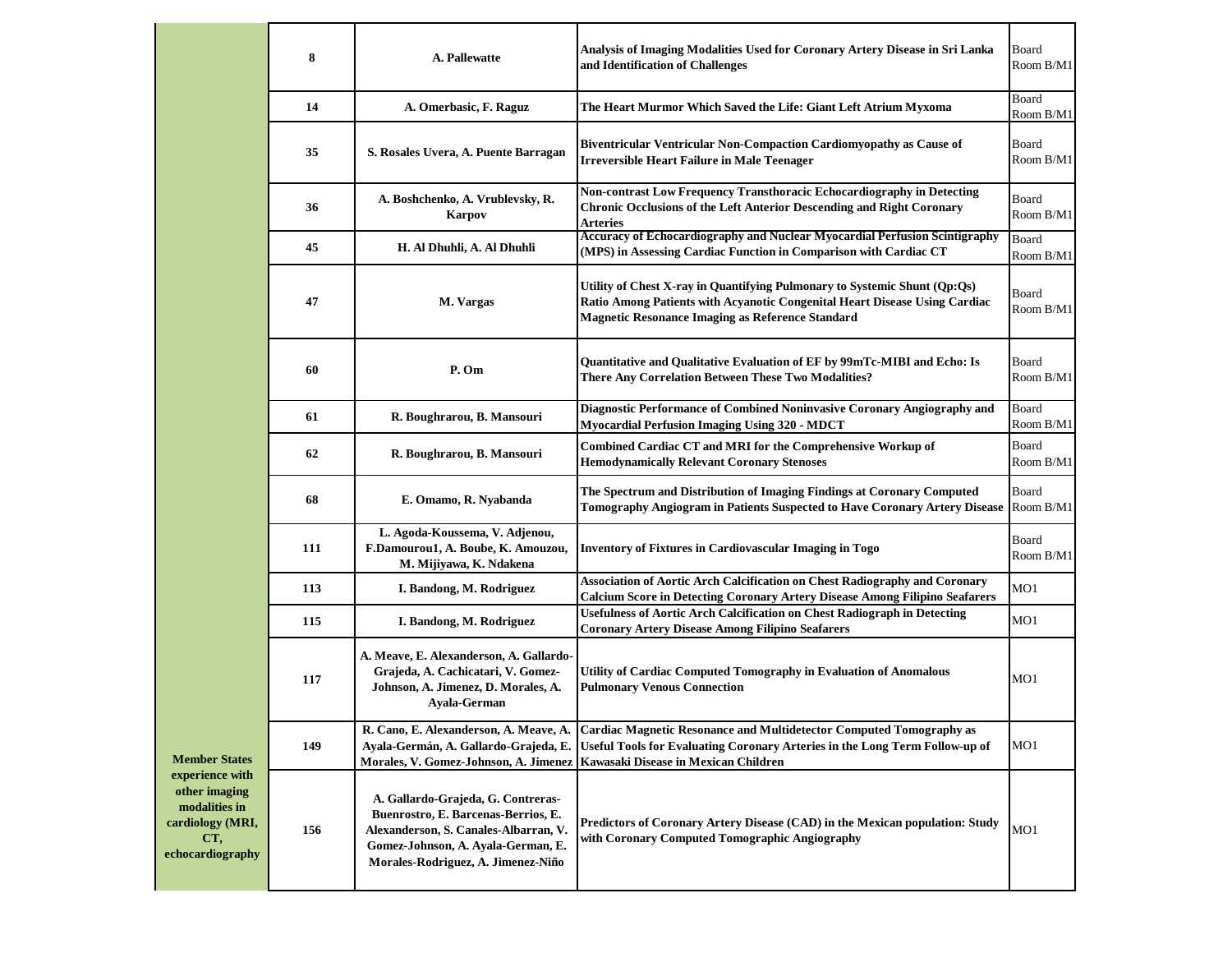|                                                                                                                          | 8   | A. Pallewatte                                                                                                                                                                                  | Analysis of Imaging Modalities Used for Coronary Artery Disease in Sri Lanka<br>and Identification of Challenges                                                                                                   | Board<br>Room B/M1 |
|--------------------------------------------------------------------------------------------------------------------------|-----|------------------------------------------------------------------------------------------------------------------------------------------------------------------------------------------------|--------------------------------------------------------------------------------------------------------------------------------------------------------------------------------------------------------------------|--------------------|
|                                                                                                                          | 14  | A. Omerbasic, F. Raguz                                                                                                                                                                         | The Heart Murmor Which Saved the Life: Giant Left Atrium Myxoma                                                                                                                                                    | Board<br>Room B/M1 |
|                                                                                                                          | 35  | S. Rosales Uvera, A. Puente Barragan                                                                                                                                                           | Biventricular Ventricular Non-Compaction Cardiomyopathy as Cause of<br><b>Irreversible Heart Failure in Male Teenager</b>                                                                                          | Board<br>Room B/M1 |
|                                                                                                                          | 36  | A. Boshchenko, A. Vrublevsky, R.<br><b>Karpov</b>                                                                                                                                              | Non-contrast Low Frequency Transthoracic Echocardiography in Detecting<br>Chronic Occlusions of the Left Anterior Descending and Right Coronary<br><b>Arteries</b>                                                 | Board<br>Room B/M1 |
|                                                                                                                          | 45  | H. Al Dhuhli, A. Al Dhuhli                                                                                                                                                                     | Accuracy of Echocardiography and Nuclear Myocardial Perfusion Scintigraphy<br>(MPS) in Assessing Cardiac Function in Comparison with Cardiac CT                                                                    | Board<br>Room B/M1 |
|                                                                                                                          | 47  | M. Vargas                                                                                                                                                                                      | Utility of Chest X-ray in Quantifying Pulmonary to Systemic Shunt (Qp:Qs)<br>Ratio Among Patients with Acyanotic Congenital Heart Disease Using Cardiac<br><b>Magnetic Resonance Imaging as Reference Standard</b> | Board<br>Room B/M1 |
|                                                                                                                          | 60  | P. Om                                                                                                                                                                                          | Quantitative and Qualitative Evaluation of EF by 99mTc-MIBI and Echo: Is<br>There Any Correlation Between These Two Modalities?                                                                                    | Board<br>Room B/M1 |
|                                                                                                                          | 61  | R. Boughrarou, B. Mansouri                                                                                                                                                                     | Diagnostic Performance of Combined Noninvasive Coronary Angiography and<br><b>Myocardial Perfusion Imaging Using 320 - MDCT</b>                                                                                    | Board<br>Room B/M1 |
|                                                                                                                          | 62  | R. Boughrarou, B. Mansouri                                                                                                                                                                     | Combined Cardiac CT and MRI for the Comprehensive Workup of<br><b>Hemodynamically Relevant Coronary Stenoses</b>                                                                                                   | Board<br>Room B/M1 |
|                                                                                                                          | 68  | E. Omamo, R. Nyabanda                                                                                                                                                                          | The Spectrum and Distribution of Imaging Findings at Coronary Computed<br><b>Tomography Angiogram in Patients Suspected to Have Coronary Artery Disease</b>                                                        | Board<br>Room B/M1 |
|                                                                                                                          | 111 | L. Agoda-Koussema, V. Adjenou,<br>F.Damourou1, A. Boube, K. Amouzou,<br>M. Mijiyawa, K. Ndakena                                                                                                | <b>Inventory of Fixtures in Cardiovascular Imaging in Togo</b>                                                                                                                                                     | Board<br>Room B/M1 |
|                                                                                                                          | 113 | I. Bandong, M. Rodriguez                                                                                                                                                                       | Association of Aortic Arch Calcification on Chest Radiography and Coronary<br><b>Calcium Score in Detecting Coronary Artery Disease Among Filipino Seafarers</b>                                                   | MO1                |
|                                                                                                                          | 115 | I. Bandong, M. Rodriguez                                                                                                                                                                       | <b>Usefulness of Aortic Arch Calcification on Chest Radiograph in Detecting</b><br><b>Coronary Artery Disease Among Filipino Seafarers</b>                                                                         | MO1                |
| <b>Member States</b><br>experience with<br>other imaging<br>modalities in<br>cardiology (MRI,<br>CT,<br>echocardiography | 117 | A. Meave, E. Alexanderson, A. Gallardo-<br>Grajeda, A. Cachicatari, V. Gomez-<br>Johnson, A. Jimenez, D. Morales, A.<br>Ayala-German                                                           | Utility of Cardiac Computed Tomography in Evaluation of Anomalous<br><b>Pulmonary Venous Connection</b>                                                                                                            | MO <sub>1</sub>    |
|                                                                                                                          | 149 | R. Cano, E. Alexanderson, A. Meave, A.<br>Ayala-Germán, A. Gallardo-Grajeda, E.<br>Morales, V. Gomez-Johnson, A. Jimenez   Kawasaki Disease in Mexican Children                                | Cardiac Magnetic Resonance and Multidetector Computed Tomography as<br>Useful Tools for Evaluating Coronary Arteries in the Long Term Follow-up of                                                                 | MO <sub>1</sub>    |
|                                                                                                                          | 156 | A. Gallardo-Grajeda, G. Contreras-<br>Buenrostro, E. Barcenas-Berrios, E.<br>Alexanderson, S. Canales-Albarran, V.<br>Gomez-Johnson, A. Ayala-German, E.<br>Morales-Rodriguez, A. Jimenez-Niño | Predictors of Coronary Artery Disease (CAD) in the Mexican population: Study<br>with Coronary Computed Tomographic Angiography                                                                                     | MO1                |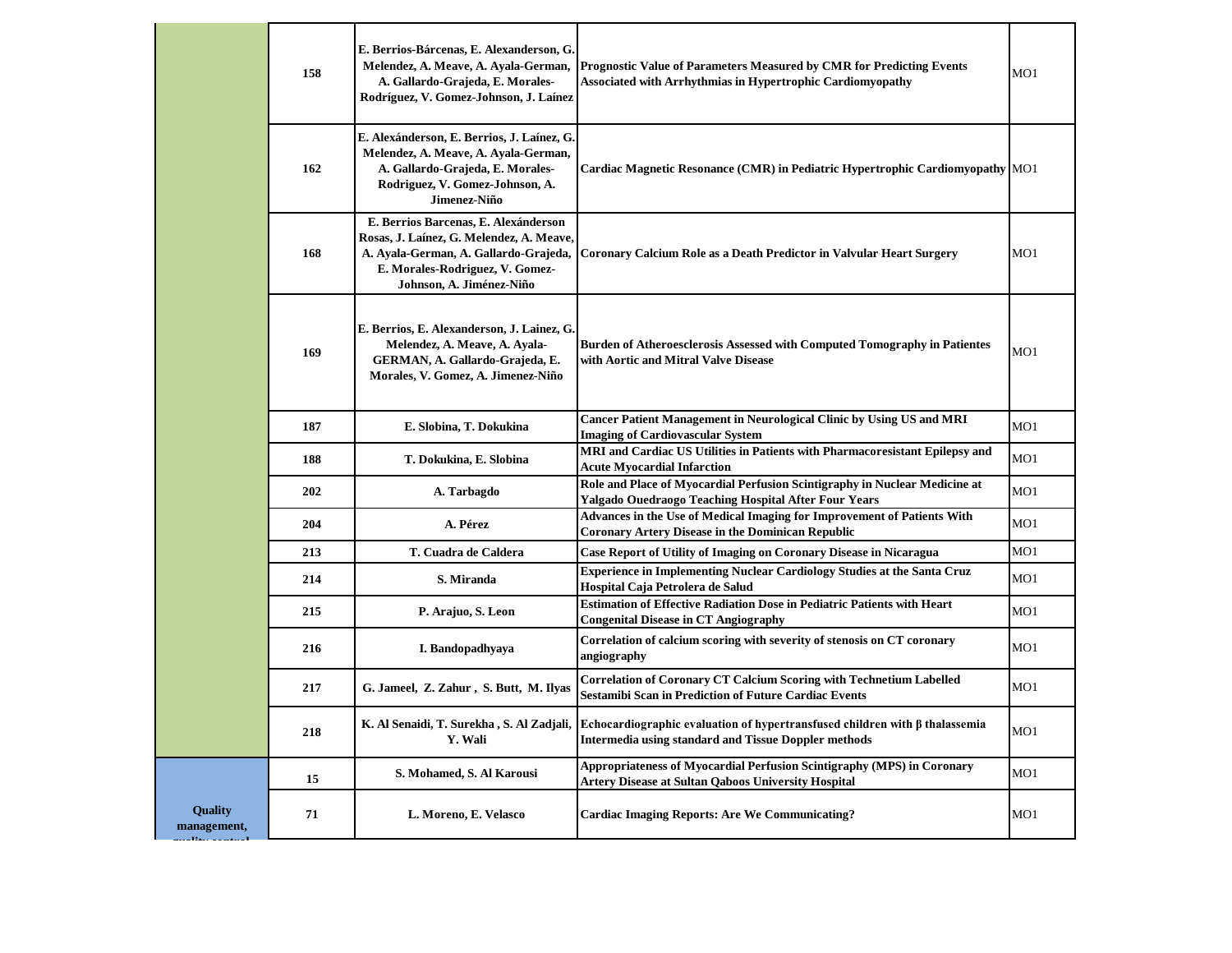|                               | 158 | E. Berrios-Bárcenas, E. Alexanderson, G.<br>Melendez, A. Meave, A. Ayala-German,<br>A. Gallardo-Grajeda, E. Morales-<br>Rodríguez, V. Gomez-Johnson, J. Laínez                           | <b>Prognostic Value of Parameters Measured by CMR for Predicting Events</b><br><b>Associated with Arrhythmias in Hypertrophic Cardiomyopathy</b> | MO1 |
|-------------------------------|-----|------------------------------------------------------------------------------------------------------------------------------------------------------------------------------------------|--------------------------------------------------------------------------------------------------------------------------------------------------|-----|
|                               | 162 | E. Alexánderson, E. Berrios, J. Laínez, G.<br>Melendez, A. Meave, A. Ayala-German,<br>A. Gallardo-Grajeda, E. Morales-<br>Rodriguez, V. Gomez-Johnson, A.<br>Jimenez-Niño                | Cardiac Magnetic Resonance (CMR) in Pediatric Hypertrophic Cardiomyopathy MO1                                                                    |     |
|                               | 168 | E. Berrios Barcenas, E. Alexánderson<br>Rosas, J. Laínez, G. Melendez, A. Meave,<br>A. Ayala-German, A. Gallardo-Grajeda,<br>E. Morales-Rodriguez, V. Gomez-<br>Johnson, A. Jiménez-Niño | Coronary Calcium Role as a Death Predictor in Valvular Heart Surgery                                                                             | MO1 |
|                               | 169 | E. Berrios, E. Alexanderson, J. Lainez, G.<br>Melendez, A. Meave, A. Ayala-<br>GERMAN, A. Gallardo-Grajeda, E.<br>Morales, V. Gomez, A. Jimenez-Niño                                     | Burden of Atheroesclerosis Assessed with Computed Tomography in Patientes<br>with Aortic and Mitral Valve Disease                                | MO1 |
|                               | 187 | E. Slobina, T. Dokukina                                                                                                                                                                  | <b>Cancer Patient Management in Neurological Clinic by Using US and MRI</b><br><b>Imaging of Cardiovascular System</b>                           | MO1 |
|                               | 188 | T. Dokukina, E. Slobina                                                                                                                                                                  | MRI and Cardiac US Utilities in Patients with Pharmacoresistant Epilepsy and<br><b>Acute Myocardial Infarction</b>                               | MO1 |
|                               | 202 | A. Tarbagdo                                                                                                                                                                              | Role and Place of Myocardial Perfusion Scintigraphy in Nuclear Medicine at<br>Yalgado Ouedraogo Teaching Hospital After Four Years               | MO1 |
|                               | 204 | A. Pérez                                                                                                                                                                                 | Advances in the Use of Medical Imaging for Improvement of Patients With<br><b>Coronary Artery Disease in the Dominican Republic</b>              | MO1 |
|                               | 213 | T. Cuadra de Caldera                                                                                                                                                                     | Case Report of Utility of Imaging on Coronary Disease in Nicaragua                                                                               | MO1 |
|                               | 214 | S. Miranda                                                                                                                                                                               | <b>Experience in Implementing Nuclear Cardiology Studies at the Santa Cruz</b><br>Hospital Caja Petrolera de Salud                               | MO1 |
|                               | 215 | P. Arajuo, S. Leon                                                                                                                                                                       | <b>Estimation of Effective Radiation Dose in Pediatric Patients with Heart</b><br><b>Congenital Disease in CT Angiography</b>                    | MO1 |
|                               | 216 | I. Bandopadhyaya                                                                                                                                                                         | Correlation of calcium scoring with severity of stenosis on CT coronary<br>angiography                                                           | MO1 |
|                               | 217 | G. Jameel, Z. Zahur, S. Butt, M. Ilyas                                                                                                                                                   | <b>Correlation of Coronary CT Calcium Scoring with Technetium Labelled</b><br>Sestamibi Scan in Prediction of Future Cardiac Events              | MO1 |
|                               | 218 | K. Al Senaidi, T. Surekha , S. Al Zadjali,<br>Y. Wali                                                                                                                                    | Echocardiographic evaluation of hypertransfused children with $\beta$ thalassemia<br><b>Intermedia using standard and Tissue Doppler methods</b> | MO1 |
|                               | 15  | S. Mohamed, S. Al Karousi                                                                                                                                                                | Appropriateness of Myocardial Perfusion Scintigraphy (MPS) in Coronary<br><b>Artery Disease at Sultan Qaboos University Hospital</b>             | MO1 |
| <b>Quality</b><br>management, | 71  | L. Moreno, E. Velasco                                                                                                                                                                    | <b>Cardiac Imaging Reports: Are We Communicating?</b>                                                                                            | MO1 |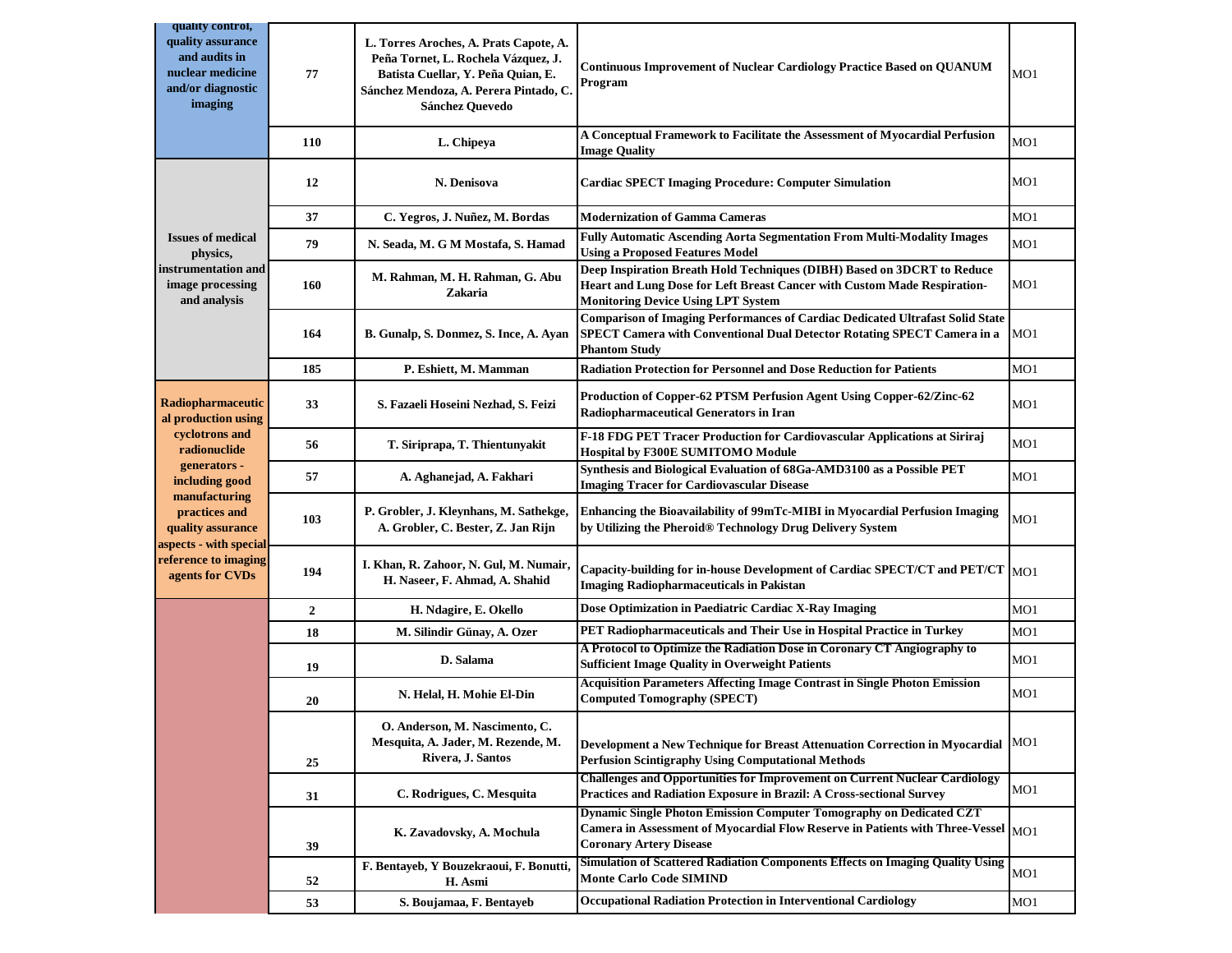| quality control,<br>quality assurance<br>and audits in<br>nuclear medicine<br>and/or diagnostic<br>imaging | 77           | L. Torres Aroches, A. Prats Capote, A.<br>Peña Tornet, L. Rochela Vázquez, J.<br>Batista Cuellar, Y. Peña Quian, E.<br>Sánchez Mendoza, A. Perera Pintado, C.<br>Sánchez Quevedo | <b>Continuous Improvement of Nuclear Cardiology Practice Based on QUANUM</b><br>Program                                                                                                          | MO1             |
|------------------------------------------------------------------------------------------------------------|--------------|----------------------------------------------------------------------------------------------------------------------------------------------------------------------------------|--------------------------------------------------------------------------------------------------------------------------------------------------------------------------------------------------|-----------------|
|                                                                                                            | <b>110</b>   | L. Chipeya                                                                                                                                                                       | A Conceptual Framework to Facilitate the Assessment of Myocardial Perfusion<br><b>Image Quality</b>                                                                                              | MO <sub>1</sub> |
|                                                                                                            | 12           | N. Denisova                                                                                                                                                                      | <b>Cardiac SPECT Imaging Procedure: Computer Simulation</b>                                                                                                                                      | MO <sub>1</sub> |
|                                                                                                            | 37           | C. Yegros, J. Nuñez, M. Bordas                                                                                                                                                   | <b>Modernization of Gamma Cameras</b>                                                                                                                                                            | MO1             |
| <b>Issues of medical</b><br>physics,<br>instrumentation and<br>image processing<br>and analysis            | 79           | N. Seada, M. G M Mostafa, S. Hamad                                                                                                                                               | Fully Automatic Ascending Aorta Segmentation From Multi-Modality Images<br><b>Using a Proposed Features Model</b>                                                                                | MO1             |
|                                                                                                            | 160          | M. Rahman, M. H. Rahman, G. Abu<br>Zakaria                                                                                                                                       | Deep Inspiration Breath Hold Techniques (DIBH) Based on 3DCRT to Reduce<br>Heart and Lung Dose for Left Breast Cancer with Custom Made Respiration-<br><b>Monitoring Device Using LPT System</b> | MO1             |
|                                                                                                            | 164          | B. Gunalp, S. Donmez, S. Ince, A. Ayan                                                                                                                                           | <b>Comparison of Imaging Performances of Cardiac Dedicated Ultrafast Solid State</b><br>SPECT Camera with Conventional Dual Detector Rotating SPECT Camera in a<br><b>Phantom Study</b>          | MO1             |
|                                                                                                            | 185          | P. Eshiett, M. Mamman                                                                                                                                                            | <b>Radiation Protection for Personnel and Dose Reduction for Patients</b>                                                                                                                        | MO1             |
| <b>Radiopharmaceutic</b><br>al production using<br>cyclotrons and<br>radionuclide                          | 33           | S. Fazaeli Hoseini Nezhad, S. Feizi                                                                                                                                              | Production of Copper-62 PTSM Perfusion Agent Using Copper-62/Zinc-62<br><b>Radiopharmaceutical Generators in Iran</b>                                                                            | MO <sub>1</sub> |
|                                                                                                            | 56           | T. Siriprapa, T. Thientunyakit                                                                                                                                                   | F-18 FDG PET Tracer Production for Cardiovascular Applications at Siriraj<br><b>Hospital by F300E SUMITOMO Module</b>                                                                            | MO1             |
| generators -<br>including good                                                                             | 57           | A. Aghanejad, A. Fakhari                                                                                                                                                         | Synthesis and Biological Evaluation of 68Ga-AMD3100 as a Possible PET<br><b>Imaging Tracer for Cardiovascular Disease</b>                                                                        | MO1             |
| manufacturing<br>practices and<br>quality assurance                                                        | 103          | P. Grobler, J. Kleynhans, M. Sathekge,<br>A. Grobler, C. Bester, Z. Jan Rijn                                                                                                     | Enhancing the Bioavailability of 99mTc-MIBI in Myocardial Perfusion Imaging<br>by Utilizing the Pheroid® Technology Drug Delivery System                                                         | MO1             |
| aspects - with special<br>reference to imaging<br>agents for CVDs                                          | 194          | I. Khan, R. Zahoor, N. Gul, M. Numair,<br>H. Naseer, F. Ahmad, A. Shahid                                                                                                         | Capacity-building for in-house Development of Cardiac SPECT/CT and PET/CT $ _{\rm MO1}$<br><b>Imaging Radiopharmaceuticals in Pakistan</b>                                                       |                 |
|                                                                                                            | $\mathbf{2}$ | H. Ndagire, E. Okello                                                                                                                                                            | Dose Optimization in Paediatric Cardiac X-Ray Imaging                                                                                                                                            | MO1             |
|                                                                                                            | 18           | M. Silindir Günay, A. Ozer                                                                                                                                                       | PET Radiopharmaceuticals and Their Use in Hospital Practice in Turkey                                                                                                                            | MO1             |
|                                                                                                            | 19           | D. Salama                                                                                                                                                                        | A Protocol to Optimize the Radiation Dose in Coronary CT Angiography to<br><b>Sufficient Image Quality in Overweight Patients</b>                                                                | MO1             |
|                                                                                                            | 20           | N. Helal, H. Mohie El-Din                                                                                                                                                        | <b>Acquisition Parameters Affecting Image Contrast in Single Photon Emission</b><br><b>Computed Tomography (SPECT)</b>                                                                           | MO <sub>1</sub> |
|                                                                                                            | 25           | O. Anderson, M. Nascimento, C.<br>Mesquita, A. Jader, M. Rezende, M.<br>Rivera, J. Santos                                                                                        | Development a New Technique for Breast Attenuation Correction in Myocardial<br><b>Perfusion Scintigraphy Using Computational Methods</b>                                                         | MO1             |
|                                                                                                            | 31           | C. Rodrigues, C. Mesquita                                                                                                                                                        | <b>Challenges and Opportunities for Improvement on Current Nuclear Cardiology</b><br>Practices and Radiation Exposure in Brazil: A Cross-sectional Survey                                        | MO1             |
|                                                                                                            | 39           | K. Zavadovsky, A. Mochula                                                                                                                                                        | Dynamic Single Photon Emission Computer Tomography on Dedicated CZT<br>Camera in Assessment of Myocardial Flow Reserve in Patients with Three-Vessel MO1<br><b>Coronary Artery Disease</b>       |                 |
|                                                                                                            | 52           | F. Bentayeb, Y Bouzekraoui, F. Bonutti,<br>H. Asmi                                                                                                                               | Simulation of Scattered Radiation Components Effects on Imaging Quality Using<br><b>Monte Carlo Code SIMIND</b>                                                                                  | MO1             |
|                                                                                                            | 53           | S. Boujamaa, F. Bentayeb                                                                                                                                                         | <b>Occupational Radiation Protection in Interventional Cardiology</b>                                                                                                                            | MO1             |